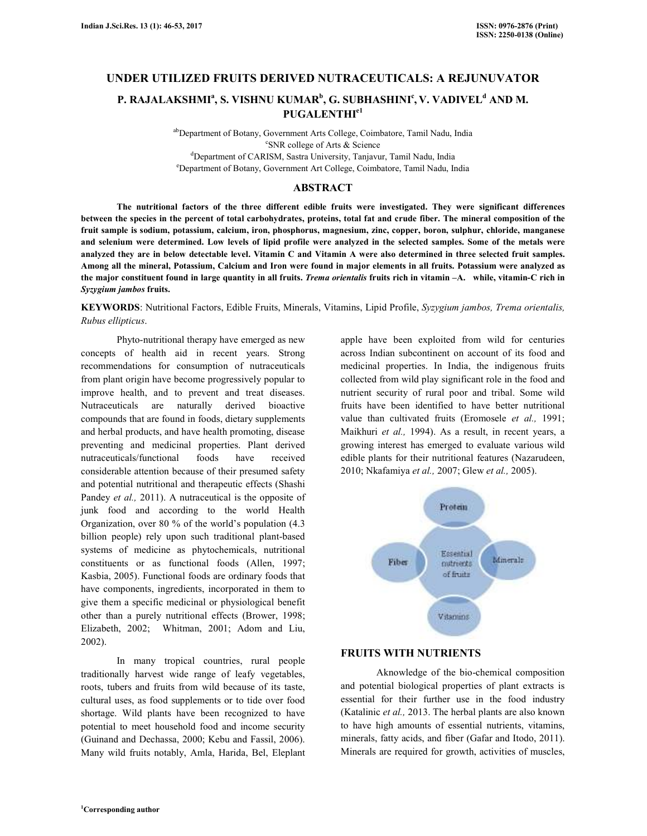## **UNDER UTILIZED FRUITS DERIVED NUTRACEUTICALS: A REJUNUVATOR**

# **P. RAJALAKSHMI<sup>a</sup> , S. VISHNU KUMAR<sup>b</sup> , G. SUBHASHINI<sup>c</sup> , V. VADIVEL<sup>d</sup> AND M. PUGALENTHIe1**

ab Department of Botany, Government Arts College, Coimbatore, Tamil Nadu, India c SNR college of Arts & Science <sup>d</sup>Department of CARISM, Sastra University, Tanjavur, Tamil Nadu, India <sup>e</sup>Department of Botany, Government Art College, Coimbatore, Tamil Nadu, India

## **ABSTRACT**

 **The nutritional factors of the three different edible fruits were investigated. They were significant differences between the species in the percent of total carbohydrates, proteins, total fat and crude fiber. The mineral composition of the fruit sample is sodium, potassium, calcium, iron, phosphorus, magnesium, zinc, copper, boron, sulphur, chloride, manganese and selenium were determined. Low levels of lipid profile were analyzed in the selected samples. Some of the metals were analyzed they are in below detectable level. Vitamin C and Vitamin A were also determined in three selected fruit samples. Among all the mineral, Potassium, Calcium and Iron were found in major elements in all fruits. Potassium were analyzed as the major constituent found in large quantity in all fruits.** *Trema orientalis* **fruits rich in vitamin –A. while, vitamin-C rich in**  *Syzygium jambos* **fruits.** 

## **KEYWORDS**: Nutritional Factors, Edible Fruits, Minerals, Vitamins, Lipid Profile, *Syzygium jambos, Trema orientalis, Rubus ellipticus*.

 Phyto-nutritional therapy have emerged as new concepts of health aid in recent years. Strong recommendations for consumption of nutraceuticals from plant origin have become progressively popular to improve health, and to prevent and treat diseases. Nutraceuticals are naturally derived bioactive compounds that are found in foods, dietary supplements and herbal products, and have health promoting, disease preventing and medicinal properties. Plant derived nutraceuticals/functional foods have received considerable attention because of their presumed safety and potential nutritional and therapeutic effects (Shashi Pandey *et al.,* 2011). A nutraceutical is the opposite of junk food and according to the world Health Organization, over 80 % of the world's population (4.3 billion people) rely upon such traditional plant-based systems of medicine as phytochemicals, nutritional constituents or as functional foods (Allen, 1997; Kasbia, 2005). Functional foods are ordinary foods that have components, ingredients, incorporated in them to give them a specific medicinal or physiological benefit other than a purely nutritional effects (Brower, 1998; Elizabeth, 2002; Whitman, 2001; Adom and Liu, 2002).

 In many tropical countries, rural people traditionally harvest wide range of leafy vegetables, roots, tubers and fruits from wild because of its taste, cultural uses, as food supplements or to tide over food shortage. Wild plants have been recognized to have potential to meet household food and income security (Guinand and Dechassa, 2000; Kebu and Fassil, 2006). Many wild fruits notably, Amla, Harida, Bel, Eleplant apple have been exploited from wild for centuries across Indian subcontinent on account of its food and medicinal properties. In India, the indigenous fruits collected from wild play significant role in the food and nutrient security of rural poor and tribal. Some wild fruits have been identified to have better nutritional value than cultivated fruits (Eromosele *et al.,* 1991; Maikhuri *et al.,* 1994). As a result, in recent years, a growing interest has emerged to evaluate various wild edible plants for their nutritional features (Nazarudeen, 2010; Nkafamiya *et al.,* 2007; Glew *et al.,* 2005).



## **FRUITS WITH NUTRIENTS**

 Aknowledge of the bio-chemical composition and potential biological properties of plant extracts is essential for their further use in the food industry (Katalinic *et al.,* 2013. The herbal plants are also known to have high amounts of essential nutrients, vitamins, minerals, fatty acids, and fiber (Gafar and Itodo, 2011). Minerals are required for growth, activities of muscles,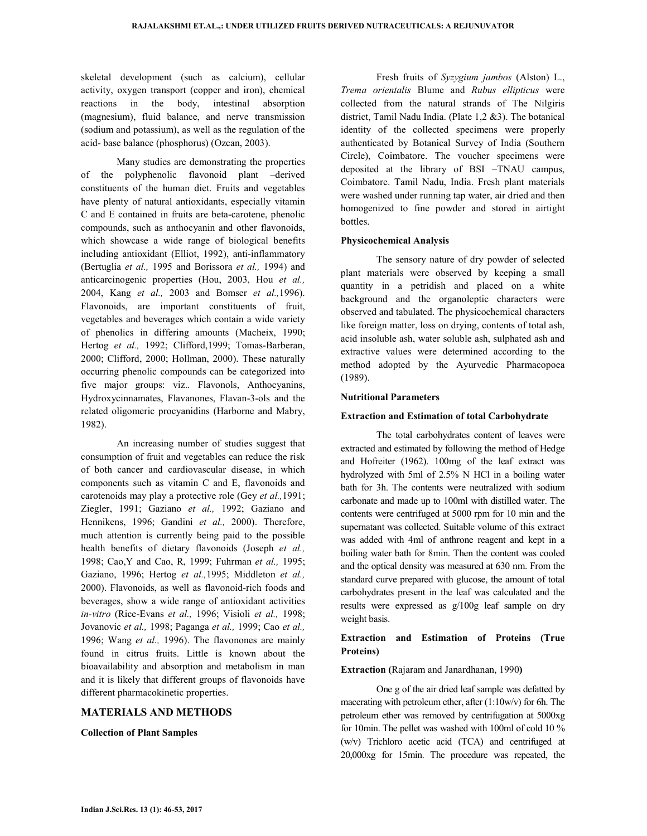skeletal development (such as calcium), cellular activity, oxygen transport (copper and iron), chemical reactions in the body, intestinal absorption (magnesium), fluid balance, and nerve transmission (sodium and potassium), as well as the regulation of the acid- base balance (phosphorus) (Ozcan, 2003).

 Many studies are demonstrating the properties of the polyphenolic flavonoid plant –derived constituents of the human diet. Fruits and vegetables have plenty of natural antioxidants, especially vitamin C and E contained in fruits are beta-carotene, phenolic compounds, such as anthocyanin and other flavonoids, which showcase a wide range of biological benefits including antioxidant (Elliot, 1992), anti-inflammatory (Bertuglia *et al.,* 1995 and Borissora *et al.,* 1994) and anticarcinogenic properties (Hou, 2003, Hou *et al.,* 2004, Kang *et al.,* 2003 and Bomser *et al.,*1996). Flavonoids, are important constituents of fruit, vegetables and beverages which contain a wide variety of phenolics in differing amounts (Macheix, 1990; Hertog *et al.,* 1992; Clifford,1999; Tomas-Barberan, 2000; Clifford, 2000; Hollman, 2000). These naturally occurring phenolic compounds can be categorized into five major groups: viz.. Flavonols, Anthocyanins, Hydroxycinnamates, Flavanones, Flavan-3-ols and the related oligomeric procyanidins (Harborne and Mabry, 1982).

 An increasing number of studies suggest that consumption of fruit and vegetables can reduce the risk of both cancer and cardiovascular disease, in which components such as vitamin C and E, flavonoids and carotenoids may play a protective role (Gey *et al.,*1991; Ziegler, 1991; Gaziano *et al.,* 1992; Gaziano and Hennikens, 1996; Gandini *et al.,* 2000). Therefore, much attention is currently being paid to the possible health benefits of dietary flavonoids (Joseph *et al.,* 1998; Cao,Y and Cao, R, 1999; Fuhrman *et al.,* 1995; Gaziano, 1996; Hertog *et al.,*1995; Middleton *et al.,* 2000). Flavonoids, as well as flavonoid-rich foods and beverages, show a wide range of antioxidant activities *in-vitro* (Rice-Evans *et al.,* 1996; Visioli *et al.,* 1998; Jovanovic *et al.,* 1998; Paganga *et al.,* 1999; Cao *et al.,* 1996; Wang *et al.,* 1996). The flavonones are mainly found in citrus fruits. Little is known about the bioavailability and absorption and metabolism in man and it is likely that different groups of flavonoids have different pharmacokinetic properties.

## **MATERIALS AND METHODS**

#### **Collection of Plant Samples**

 Fresh fruits of *Syzygium jambos* (Alston) L., *Trema orientalis* Blume and *Rubus ellipticus* were collected from the natural strands of The Nilgiris district, Tamil Nadu India. (Plate 1,2 &3). The botanical identity of the collected specimens were properly authenticated by Botanical Survey of India (Southern Circle), Coimbatore. The voucher specimens were deposited at the library of BSI –TNAU campus, Coimbatore. Tamil Nadu, India. Fresh plant materials were washed under running tap water, air dried and then homogenized to fine powder and stored in airtight bottles.

#### **Physicochemical Analysis**

 The sensory nature of dry powder of selected plant materials were observed by keeping a small quantity in a petridish and placed on a white background and the organoleptic characters were observed and tabulated. The physicochemical characters like foreign matter, loss on drying, contents of total ash, acid insoluble ash, water soluble ash, sulphated ash and extractive values were determined according to the method adopted by the Ayurvedic Pharmacopoea (1989).

#### **Nutritional Parameters**

## **Extraction and Estimation of total Carbohydrate**

 The total carbohydrates content of leaves were extracted and estimated by following the method of Hedge and Hofreiter (1962). 100mg of the leaf extract was hydrolyzed with 5ml of 2.5% N HCl in a boiling water bath for 3h. The contents were neutralized with sodium carbonate and made up to 100ml with distilled water. The contents were centrifuged at 5000 rpm for 10 min and the supernatant was collected. Suitable volume of this extract was added with 4ml of anthrone reagent and kept in a boiling water bath for 8min. Then the content was cooled and the optical density was measured at 630 nm. From the standard curve prepared with glucose, the amount of total carbohydrates present in the leaf was calculated and the results were expressed as g/100g leaf sample on dry weight basis.

## **Extraction and Estimation of Proteins (True Proteins)**

#### **Extraction (**Rajaram and Janardhanan, 1990**)**

 One g of the air dried leaf sample was defatted by macerating with petroleum ether, after (1:10w/v) for 6h. The petroleum ether was removed by centrifugation at 5000xg for 10min. The pellet was washed with 100ml of cold 10 % (w/v) Trichloro acetic acid (TCA) and centrifuged at 20,000xg for 15min. The procedure was repeated, the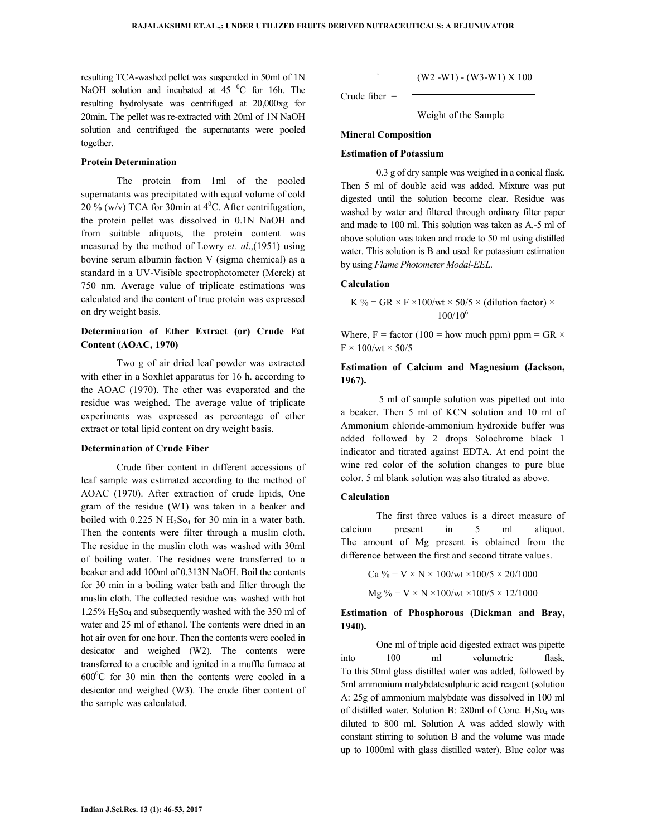resulting TCA-washed pellet was suspended in 50ml of 1N NaOH solution and incubated at 45 <sup>0</sup>C for 16h. The resulting hydrolysate was centrifuged at 20,000xg for 20min. The pellet was re-extracted with 20ml of 1N NaOH solution and centrifuged the supernatants were pooled together.

## **Protein Determination**

 The protein from 1ml of the pooled supernatants was precipitated with equal volume of cold 20 % (w/v) TCA for 30min at  $4^{\circ}$ C. After centrifugation, the protein pellet was dissolved in 0.1N NaOH and from suitable aliquots, the protein content was measured by the method of Lowry *et. al*.,(1951) using bovine serum albumin faction V (sigma chemical) as a standard in a UV-Visible spectrophotometer (Merck) at 750 nm. Average value of triplicate estimations was calculated and the content of true protein was expressed on dry weight basis.

## **Determination of Ether Extract (or) Crude Fat Content (AOAC, 1970)**

Two g of air dried leaf powder was extracted with ether in a Soxhlet apparatus for 16 h. according to the AOAC (1970). The ether was evaporated and the residue was weighed. The average value of triplicate experiments was expressed as percentage of ether extract or total lipid content on dry weight basis.

#### **Determination of Crude Fiber**

 Crude fiber content in different accessions of leaf sample was estimated according to the method of AOAC (1970). After extraction of crude lipids, One gram of the residue (W1) was taken in a beaker and boiled with  $0.225 \text{ N H}_2\text{So}_4$  for 30 min in a water bath. Then the contents were filter through a muslin cloth. The residue in the muslin cloth was washed with 30ml of boiling water. The residues were transferred to a beaker and add 100ml of 0.313N NaOH. Boil the contents for 30 min in a boiling water bath and filter through the muslin cloth. The collected residue was washed with hot  $1.25\%$  H<sub>2</sub>S<sub>O<sub>4</sub></sub> and subsequently washed with the 350 ml of water and 25 ml of ethanol. The contents were dried in an hot air oven for one hour. Then the contents were cooled in desicator and weighed (W2). The contents were transferred to a crucible and ignited in a muffle furnace at  $600^{\circ}$ C for 30 min then the contents were cooled in a desicator and weighed (W3). The crude fiber content of the sample was calculated.

 $(W2 - W1) - (W3-W1) \times 100$ 

Crude fiber =

Weight of the Sample

#### **Mineral Composition**

#### **Estimation of Potassium**

 0.3 g of dry sample was weighed in a conical flask. Then 5 ml of double acid was added. Mixture was put digested until the solution become clear. Residue was washed by water and filtered through ordinary filter paper and made to 100 ml. This solution was taken as A.-5 ml of above solution was taken and made to 50 ml using distilled water. This solution is B and used for potassium estimation by using *Flame Photometer Modal-EEL*.

#### **Calculation**

K % = GR × F ×100/wt × 50/5 × (dilution factor) × 100/10<sup>6</sup>

Where, F = factor (100 = how much ppm) ppm =  $GR \times$  $F \times 100$ /wt  $\times 50$ /5

## **Estimation of Calcium and Magnesium (Jackson, 1967).**

5 ml of sample solution was pipetted out into a beaker. Then 5 ml of KCN solution and 10 ml of Ammonium chloride-ammonium hydroxide buffer was added followed by 2 drops Solochrome black 1 indicator and titrated against EDTA. At end point the wine red color of the solution changes to pure blue color. 5 ml blank solution was also titrated as above.

## **Calculation**

The first three values is a direct measure of calcium present in 5 ml aliquot. The amount of Mg present is obtained from the difference between the first and second titrate values.

> Ca % = V × N × 100/wt × 100/5 × 20/1000  $Mg \% = V \times N \times 100/wt \times 100/5 \times 12/1000$

## **Estimation of Phosphorous (Dickman and Bray, 1940).**

One ml of triple acid digested extract was pipette into 100 ml volumetric flask. To this 50ml glass distilled water was added, followed by 5ml ammonium malybdatesulphuric acid reagent (solution A: 25g of ammonium malybdate was dissolved in 100 ml of distilled water. Solution B: 280ml of Conc.  $H_2$ So<sub>4</sub> was diluted to 800 ml. Solution A was added slowly with constant stirring to solution B and the volume was made up to 1000ml with glass distilled water). Blue color was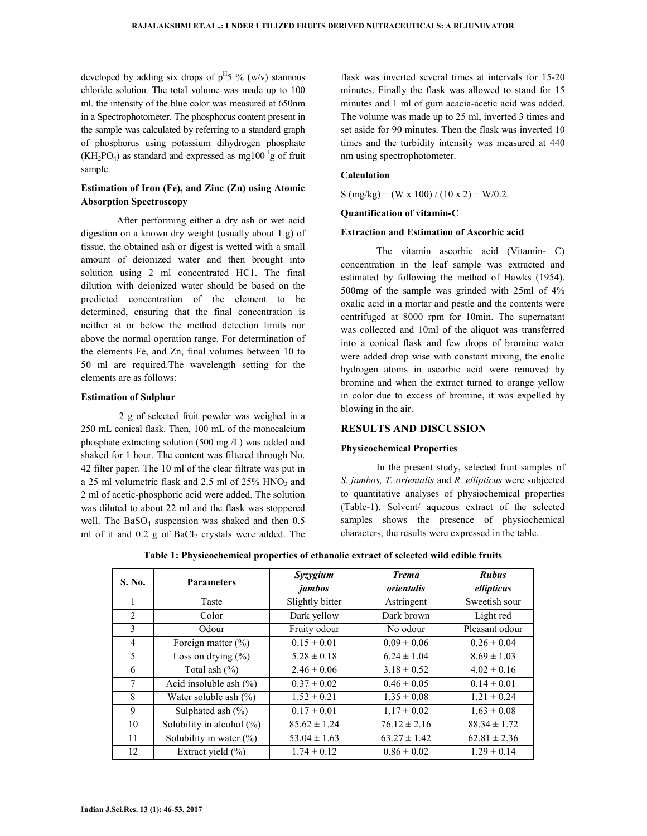developed by adding six drops of  $p$ <sup>H</sup>5 % (w/v) stannous chloride solution. The total volume was made up to 100 ml. the intensity of the blue color was measured at 650nm in a Spectrophotometer. The phosphorus content present in the sample was calculated by referring to a standard graph of phosphorus using potassium dihydrogen phosphate  $(KH_2PO_4)$  as standard and expressed as mg100<sup>-1</sup>g of fruit sample.

## **Estimation of Iron (Fe), and Zinc (Zn) using Atomic Absorption Spectroscopy**

After performing either a dry ash or wet acid digestion on a known dry weight (usually about 1 g) of tissue, the obtained ash or digest is wetted with a small amount of deionized water and then brought into solution using 2 ml concentrated HC1. The final dilution with deionized water should be based on the predicted concentration of the element to be determined, ensuring that the final concentration is neither at or below the method detection limits nor above the normal operation range. For determination of the elements Fe, and Zn, final volumes between 10 to 50 ml are required.The wavelength setting for the elements are as follows:

#### **Estimation of Sulphur**

 2 g of selected fruit powder was weighed in a 250 mL conical flask. Then, 100 mL of the monocalcium phosphate extracting solution (500 mg /L) was added and shaked for 1 hour. The content was filtered through No. 42 filter paper. The 10 ml of the clear filtrate was put in a 25 ml volumetric flask and  $2.5$  ml of  $25\%$  HNO<sub>3</sub> and 2 ml of acetic-phosphoric acid were added. The solution was diluted to about 22 ml and the flask was stoppered well. The  $BaSO<sub>4</sub>$  suspension was shaked and then  $0.5$ ml of it and  $0.2$  g of  $BaCl<sub>2</sub>$  crystals were added. The

flask was inverted several times at intervals for 15-20 minutes. Finally the flask was allowed to stand for 15 minutes and 1 ml of gum acacia-acetic acid was added. The volume was made up to 25 ml, inverted 3 times and set aside for 90 minutes. Then the flask was inverted 10 times and the turbidity intensity was measured at 440 nm using spectrophotometer.

#### **Calculation**

S (mg/kg) = (W x 100) / (10 x 2) = W/0.2.

## **Quantification of vitamin-C**

## **Extraction and Estimation of Ascorbic acid**

The vitamin ascorbic acid (Vitamin- C) concentration in the leaf sample was extracted and estimated by following the method of Hawks (1954). 500mg of the sample was grinded with 25ml of 4% oxalic acid in a mortar and pestle and the contents were centrifuged at 8000 rpm for 10min. The supernatant was collected and 10ml of the aliquot was transferred into a conical flask and few drops of bromine water were added drop wise with constant mixing, the enolic hydrogen atoms in ascorbic acid were removed by bromine and when the extract turned to orange yellow in color due to excess of bromine, it was expelled by blowing in the air.

## **RESULTS AND DISCUSSION**

#### **Physicochemical Properties**

In the present study, selected fruit samples of *S. jambos, T. orientalis* and *R. ellipticus* were subjected to quantitative analyses of physiochemical properties (Table-1). Solvent/ aqueous extract of the selected samples shows the presence of physiochemical characters, the results were expressed in the table.

| S. No. | <b>Parameters</b>             | Syzygium<br>jambos | <b>Trema</b><br>orientalis | <b>Rubus</b><br>ellipticus |
|--------|-------------------------------|--------------------|----------------------------|----------------------------|
|        | Taste                         | Slightly bitter    | Astringent                 | Sweetish sour              |
| 2      | Color                         | Dark yellow        | Dark brown                 | Light red                  |
| 3      | Odour                         | Fruity odour       | No odour                   | Pleasant odour             |
| 4      | Foreign matter $(\% )$        | $0.15 \pm 0.01$    | $0.09 \pm 0.06$            | $0.26 \pm 0.04$            |
| 5      | Loss on drying $(\% )$        | $5.28 \pm 0.18$    | $6.24 \pm 1.04$            | $8.69 \pm 1.03$            |
| 6      | Total ash $(\%)$              | $2.46 \pm 0.06$    | $3.18 \pm 0.52$            | $4.02 \pm 0.16$            |
| 7      | Acid insoluble ash $(\% )$    | $0.37 \pm 0.02$    | $0.46 \pm 0.05$            | $0.14 \pm 0.01$            |
| 8      | Water soluble ash $(\%)$      | $1.52 \pm 0.21$    | $1.35 \pm 0.08$            | $1.21 \pm 0.24$            |
| 9      | Sulphated ash $(\% )$         | $0.17 \pm 0.01$    | $1.17 \pm 0.02$            | $1.63 \pm 0.08$            |
| 10     | Solubility in alcohol $(\% )$ | $85.62 \pm 1.24$   | $76.12 \pm 2.16$           | $88.34 \pm 1.72$           |
| 11     | Solubility in water $(\% )$   | $53.04 \pm 1.63$   | $63.27 \pm 1.42$           | $62.81 \pm 2.36$           |
| 12     | Extract yield $(\% )$         | $1.74 \pm 0.12$    | $0.86 \pm 0.02$            | $1.29 \pm 0.14$            |

**Table 1: Physicochemical properties of ethanolic extract of selected wild edible fruits**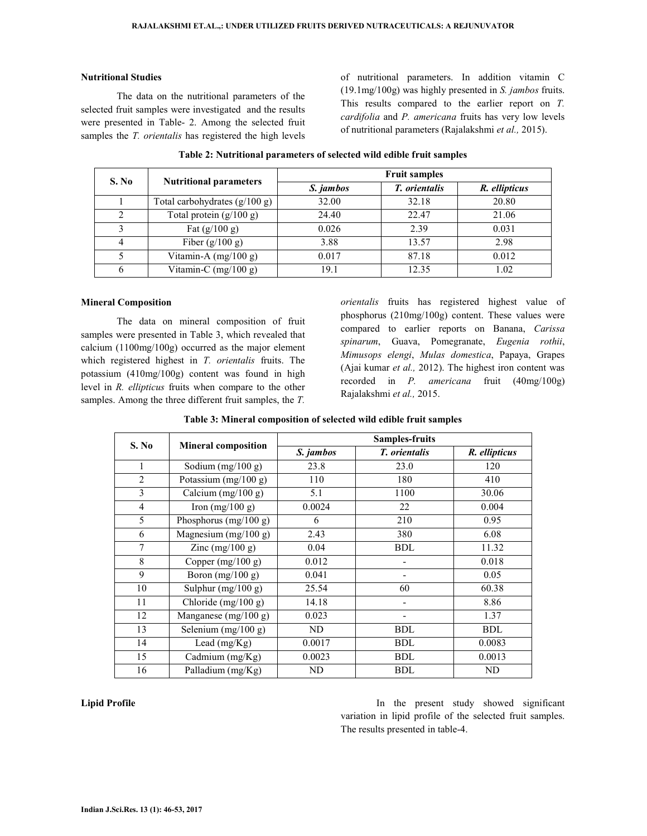## **Nutritional Studies**

The data on the nutritional parameters of the selected fruit samples were investigated and the results were presented in Table- 2. Among the selected fruit samples the *T. orientalis* has registered the high levels of nutritional parameters. In addition vitamin C (19.1mg/100g) was highly presented in *S. jambos* fruits. This results compared to the earlier report on *T. cardifolia* and *P. americana* fruits has very low levels of nutritional parameters (Rajalakshmi *et al.,* 2015).

| S. No | <b>Nutritional parameters</b>   | <b>Fruit samples</b> |                      |               |  |
|-------|---------------------------------|----------------------|----------------------|---------------|--|
|       |                                 | S. jambos            | <i>T.</i> orientalis | R. ellipticus |  |
|       | Total carbohydrates $(g/100 g)$ | 32.00                | 32.18                | 20.80         |  |
| 2     | Total protein $(g/100 g)$       | 24.40                | 22.47                | 21.06         |  |
|       | Fat $(g/100 g)$                 | 0.026                | 2.39                 | 0.031         |  |
| 4     | Fiber $(g/100 g)$               | 3.88                 | 13.57                | 2.98          |  |
|       | Vitamin-A $(mg/100 g)$          | 0.017                | 87.18                | 0.012         |  |
| 6     | Vitamin-C $(mg/100 g)$          | 19.1                 | 12.35                | 1.02          |  |

**Table 2: Nutritional parameters of selected wild edible fruit samples** 

#### **Mineral Composition**

The data on mineral composition of fruit samples were presented in Table 3, which revealed that calcium (1100mg/100g) occurred as the major element which registered highest in *T. orientalis* fruits. The potassium (410mg/100g) content was found in high level in *R. ellipticus* fruits when compare to the other samples. Among the three different fruit samples, the *T.* 

*orientalis* fruits has registered highest value of phosphorus (210mg/100g) content. These values were compared to earlier reports on Banana, *Carissa spinarum*, Guava, Pomegranate, *Eugenia rothii*, *Mimusops elengi*, *Mulas domestica*, Papaya, Grapes (Ajai kumar *et al.,* 2012). The highest iron content was recorded in *P. americana* fruit (40mg/100g) Rajalakshmi *et al.,* 2015.

| S. No          | <b>Mineral composition</b> | <b>Samples-fruits</b> |                      |               |  |
|----------------|----------------------------|-----------------------|----------------------|---------------|--|
|                |                            | S. jambos             | T. orientalis        | R. ellipticus |  |
| 1              | Sodium $(mg/100 g)$        | 23.8                  | 23.0                 | 120           |  |
| 2              | Potassium $(mg/100 g)$     | 110                   | 180                  | 410           |  |
| 3              | Calcium (mg/100 g)         | 5.1                   | 1100                 | 30.06         |  |
| $\overline{4}$ | Iron $(mg/100 g)$          | 0.0024                | 22                   | 0.004         |  |
| 5              | Phosphorus $(mg/100 g)$    | 6                     | 210                  | 0.95          |  |
| 6              | Magnesium $(mg/100 g)$     | 2.43                  | 380                  | 6.08          |  |
| 7              | Zinc $(mg/100 g)$          | 0.04                  | <b>BDL</b>           | 11.32         |  |
| 8              | Copper $(mg/100 g)$        | 0.012                 |                      | 0.018         |  |
| 9              | Boron $(mg/100 g)$         | 0.041                 |                      | 0.05          |  |
| 10             | Sulphur $(mg/100 g)$       | 25.54                 | 60                   | 60.38         |  |
| 11             | Chloride (mg/100 g)        | 14.18                 |                      | 8.86          |  |
| 12             | Manganese $(mg/100 g)$     | 0.023                 | ۰                    | 1.37          |  |
| 13             | Selenium $(mg/100 g)$      | ND                    | <b>BDL</b>           | <b>BDL</b>    |  |
| 14             | Lead $(mg/Kg)$             | 0.0017                | <b>BDL</b>           | 0.0083        |  |
| 15             | Cadmium (mg/Kg)            | 0.0023                | <b>BDL</b><br>0.0013 |               |  |
| 16             | Palladium (mg/Kg)          | ND                    | <b>BDL</b>           | ND            |  |

#### **Table 3: Mineral composition of selected wild edible fruit samples**

**Lipid Profile In the present study showed significant In the present study showed significant** variation in lipid profile of the selected fruit samples. The results presented in table-4.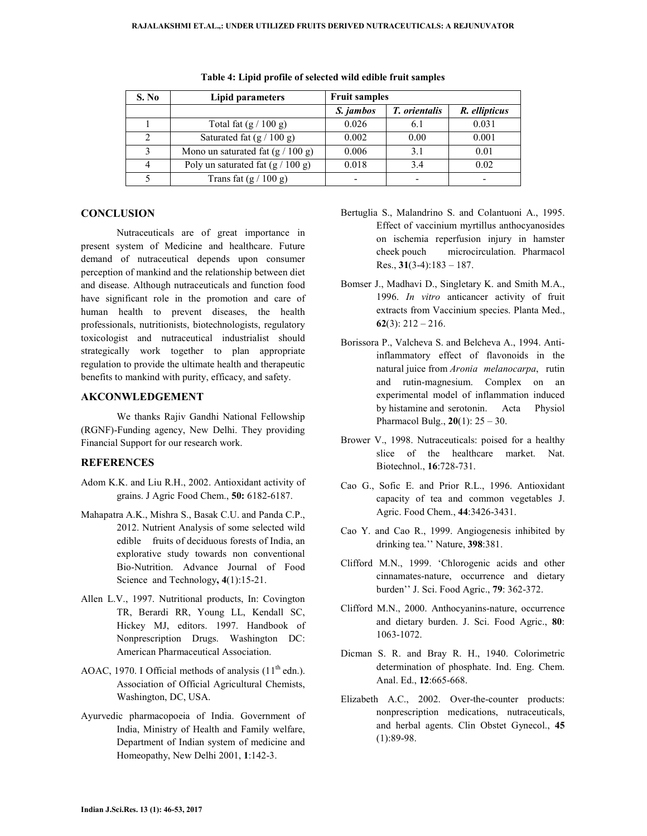| S. No | Lipid parameters                    | <b>Fruit samples</b> |                      |               |  |
|-------|-------------------------------------|----------------------|----------------------|---------------|--|
|       |                                     | S. jambos            | <i>T. orientalis</i> | R. ellipticus |  |
|       | Total fat $(g / 100 g)$             | 0.026                | 6.1                  | 0.031         |  |
|       | Saturated fat $(g / 100 g)$         | 0.002                | 0.00                 | 0.001         |  |
|       | Mono un saturated fat $(g / 100 g)$ | 0.006                | 3.1                  | 0.01          |  |
|       | Poly un saturated fat $(g / 100 g)$ | 0.018                | 3.4                  | 0.02          |  |
|       | Trans fat $(g / 100 g)$             |                      |                      |               |  |

**Table 4: Lipid profile of selected wild edible fruit samples** 

## **CONCLUSION**

Nutraceuticals are of great importance in present system of Medicine and healthcare. Future demand of nutraceutical depends upon consumer perception of mankind and the relationship between diet and disease. Although nutraceuticals and function food have significant role in the promotion and care of human health to prevent diseases, the health professionals, nutritionists, biotechnologists, regulatory toxicologist and nutraceutical industrialist should strategically work together to plan appropriate regulation to provide the ultimate health and therapeutic benefits to mankind with purity, efficacy, and safety.

## **AKCONWLEDGEMENT**

 We thanks Rajiv Gandhi National Fellowship (RGNF)-Funding agency, New Delhi. They providing Financial Support for our research work.

## **REFERENCES**

- Adom K.K. and Liu R.H., 2002. Antioxidant activity of grains. J Agric Food Chem., **50:** 6182-6187.
- Mahapatra A.K., Mishra S., Basak C.U. and Panda C.P., 2012. Nutrient Analysis of some selected wild edible fruits of deciduous forests of India, an explorative study towards non conventional Bio-Nutrition. Advance Journal of Food Science and Technology**, 4**(1):15-21.
- Allen L.V., 1997. Nutritional products, In: Covington TR, Berardi RR, Young LL, Kendall SC, Hickey MJ, editors. 1997. Handbook of Nonprescription Drugs. Washington DC: American Pharmaceutical Association.
- AOAC, 1970. I Official methods of analysis  $(11<sup>th</sup>$ edn.). Association of Official Agricultural Chemists, Washington, DC, USA.
- Ayurvedic pharmacopoeia of India. Government of India, Ministry of Health and Family welfare, Department of Indian system of medicine and Homeopathy, New Delhi 2001, **1**:142-3.
- Bertuglia S., Malandrino S. and Colantuoni A., 1995. Effect of vaccinium myrtillus anthocyanosides on ischemia reperfusion injury in hamster cheek pouch microcirculation. Pharmacol Res., **31**(3-4):183 – 187.
- Bomser J., Madhavi D., Singletary K. and Smith M.A., 1996. *In vitro* anticancer activity of fruit extracts from Vaccinium species. Planta Med., **62**(3): 212 – 216.
- Borissora P., Valcheva S. and Belcheva A., 1994. Antiinflammatory effect of flavonoids in the natural juice from *Aronia melanocarpa*, rutin and rutin-magnesium. Complex on an experimental model of inflammation induced by histamine and serotonin. Acta Physiol Pharmacol Bulg., **20**(1): 25 – 30.
- Brower V., 1998. Nutraceuticals: poised for a healthy slice of the healthcare market. Nat. Biotechnol., **16**:728-731.
- Cao G., Sofic E. and Prior R.L., 1996. Antioxidant capacity of tea and common vegetables J. Agric. Food Chem., **44**:3426-3431.
- Cao Y. and Cao R., 1999. Angiogenesis inhibited by drinking tea.'' Nature, **398**:381.
- Clifford M.N., 1999. 'Chlorogenic acids and other cinnamates-nature, occurrence and dietary burden'' J. Sci. Food Agric., **79**: 362-372.
- Clifford M.N., 2000. Anthocyanins-nature, occurrence and dietary burden. J. Sci. Food Agric., **80**: 1063-1072.
- Dicman S. R. and Bray R. H., 1940. Colorimetric determination of phosphate. Ind. Eng. Chem. Anal. Ed., **12**:665-668.
- Elizabeth A.C., 2002. Over-the-counter products: nonprescription medications, nutraceuticals, and herbal agents. Clin Obstet Gynecol., **45** (1):89-98.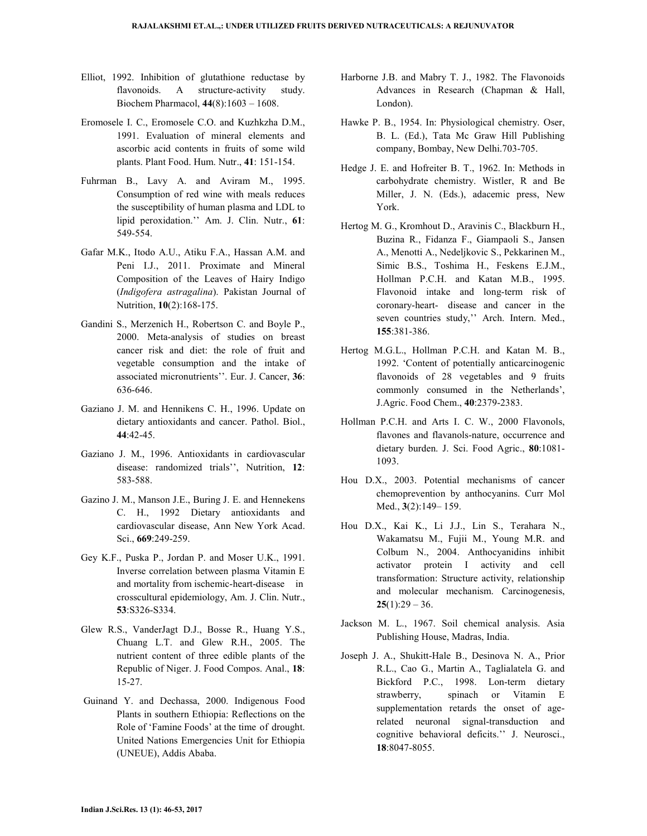- Elliot, 1992. Inhibition of glutathione reductase by flavonoids. A structure-activity study. Biochem Pharmacol, **44**(8):1603 – 1608.
- Eromosele I. C., Eromosele C.O. and Kuzhkzha D.M., 1991. Evaluation of mineral elements and ascorbic acid contents in fruits of some wild plants. Plant Food. Hum. Nutr., **41**: 151-154.
- Fuhrman B., Lavy A. and Aviram M., 1995. Consumption of red wine with meals reduces the susceptibility of human plasma and LDL to lipid peroxidation.'' Am. J. Clin. Nutr., **61**: 549-554.
- Gafar M.K., Itodo A.U., Atiku F.A., Hassan A.M. and Peni I.J., 2011. Proximate and Mineral Composition of the Leaves of Hairy Indigo (*Indigofera astragalina*). Pakistan Journal of Nutrition, **10**(2):168-175.
- Gandini S., Merzenich H., Robertson C. and Boyle P., 2000. Meta-analysis of studies on breast cancer risk and diet: the role of fruit and vegetable consumption and the intake of associated micronutrients''. Eur. J. Cancer, **36**: 636-646.
- Gaziano J. M. and Hennikens C. H., 1996. Update on dietary antioxidants and cancer. Pathol. Biol., **44**:42-45.
- Gaziano J. M., 1996. Antioxidants in cardiovascular disease: randomized trials'', Nutrition, **12**: 583-588.
- Gazino J. M., Manson J.E., Buring J. E. and Hennekens C. H., 1992 Dietary antioxidants and cardiovascular disease, Ann New York Acad. Sci., **669**:249-259.
- Gey K.F., Puska P., Jordan P. and Moser U.K., 1991. Inverse correlation between plasma Vitamin E and mortality from ischemic-heart-disease in crosscultural epidemiology, Am. J. Clin. Nutr., **53**:S326-S334.
- Glew R.S., VanderJagt D.J., Bosse R., Huang Y.S., Chuang L.T. and Glew R.H., 2005. The nutrient content of three edible plants of the Republic of Niger. J. Food Compos. Anal., **18**: 15-27.
- Guinand Y. and Dechassa, 2000. Indigenous Food Plants in southern Ethiopia: Reflections on the Role of 'Famine Foods' at the time of drought. United Nations Emergencies Unit for Ethiopia (UNEUE), Addis Ababa.
- Harborne J.B. and Mabry T. J., 1982. The Flavonoids Advances in Research (Chapman & Hall, London).
- Hawke P. B., 1954. In: Physiological chemistry. Oser, B. L. (Ed.), Tata Mc Graw Hill Publishing company, Bombay, New Delhi.703-705.
- Hedge J. E. and Hofreiter B. T., 1962. In: Methods in carbohydrate chemistry. Wistler, R and Be Miller, J. N. (Eds.), adacemic press, New York.
- Hertog M. G., Kromhout D., Aravinis C., Blackburn H., Buzina R., Fidanza F., Giampaoli S., Jansen A., Menotti A., Nedeljkovic S., Pekkarinen M., Simic B.S., Toshima H., Feskens E.J.M., Hollman P.C.H. and Katan M.B., 1995. Flavonoid intake and long-term risk of coronary-heart- disease and cancer in the seven countries study,'' Arch. Intern. Med., **155**:381-386.
- Hertog M.G.L., Hollman P.C.H. and Katan M. B., 1992. 'Content of potentially anticarcinogenic flavonoids of 28 vegetables and 9 fruits commonly consumed in the Netherlands', J.Agric. Food Chem., **40**:2379-2383.
- Hollman P.C.H. and Arts I. C. W., 2000 Flavonols, flavones and flavanols-nature, occurrence and dietary burden. J. Sci. Food Agric., **80**:1081- 1093.
- Hou D.X., 2003. Potential mechanisms of cancer chemoprevention by anthocyanins. Curr Mol Med., **3**(2):149– 159.
- Hou D.X., Kai K., Li J.J., Lin S., Terahara N., Wakamatsu M., Fujii M., Young M.R. and Colbum N., 2004. Anthocyanidins inhibit activator protein I activity and cell transformation: Structure activity, relationship and molecular mechanism. Carcinogenesis,  $25(1):29 - 36.$
- Jackson M. L., 1967. Soil chemical analysis. Asia Publishing House, Madras, India.
- Joseph J. A., Shukitt-Hale B., Desinova N. A., Prior R.L., Cao G., Martin A., Taglialatela G. and Bickford P.C., 1998. Lon-term dietary strawberry, spinach or Vitamin E supplementation retards the onset of agerelated neuronal signal-transduction and cognitive behavioral deficits.'' J. Neurosci., **18**:8047-8055.